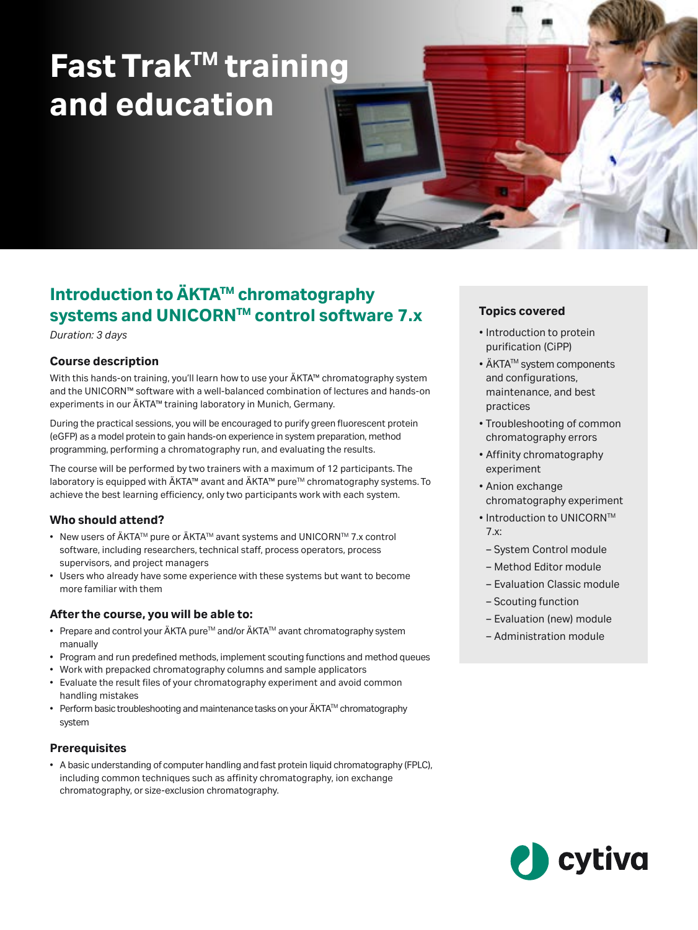# **Fast TrakTM training and education**

# **Introduction to ÄKTA™ chromatography systems and UNICORNTM control software 7.x**

*Duration: 3 days*

# **Course description**

With this hands-on training, you'll learn how to use your ÄKTA™ chromatography system and the UNICORN™ software with a well-balanced combination of lectures and hands-on experiments in our ÄKTA™ training laboratory in Munich, Germany.

During the practical sessions, you will be encouraged to purify green fluorescent protein (eGFP) as a model protein to gain hands-on experience in system preparation, method programming, performing a chromatography run, and evaluating the results.

The course will be performed by two trainers with a maximum of 12 participants. The laboratory is equipped with ÄKTA™ avant and ÄKTA™ pure<sup>™</sup> chromatography systems. To achieve the best learning efficiency, only two participants work with each system.

## **Who should attend?**

- New users of ÄKTA™ pure or ÄKTA™ avant systems and UNICORN™ 7.x control software, including researchers, technical staff, process operators, process supervisors, and project managers
- Users who already have some experience with these systems but want to become more familiar with them

# **After the course, you will be able to:**

- Prepare and control your ÄKTA pure™ and/or ÄKTA™ avant chromatography system manually
- Program and run predefined methods, implement scouting functions and method queues
- Work with prepacked chromatography columns and sample applicators
- Evaluate the result files of your chromatography experiment and avoid common handling mistakes
- Perform basic troubleshooting and maintenance tasks on your  $\ddot{A}KTA^{TM}$  chromatography system

## **Prerequisites**

• A basic understanding of computer handling and fast protein liquid chromatography (FPLC), including common techniques such as affinity chromatography, ion exchange chromatography, or size-exclusion chromatography.

# **Topics covered**

- Introduction to protein purification (CiPP)
- ÄKTA™ system components and configurations, maintenance, and best practices
- Troubleshooting of common chromatography errors
- Affinity chromatography experiment
- Anion exchange chromatography experiment
- Introduction to UNICORN™ 7.x:
- System Control module
- Method Editor module
- Evaluation Classic module
- Scouting function
- Evaluation (new) module
- Administration module

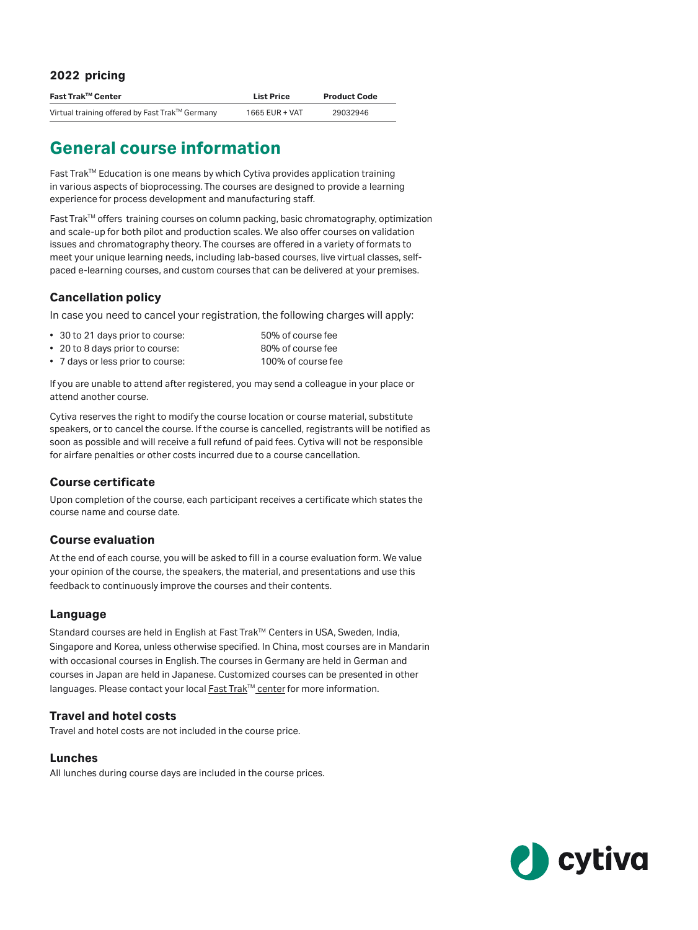## **2022 pricing**

| Fast Trak™ Center                              | <b>List Price</b> | <b>Product Code</b> |
|------------------------------------------------|-------------------|---------------------|
| Virtual training offered by Fast Trak™ Germany | 1665 EUR + VAT    | 29032946            |

# **General course information**

Fast Trak<sup>TM</sup> Education is one means by which Cytiva provides application training in various aspects of bioprocessing. The courses are designed to provide a learning experience for process development and manufacturing staff.

Fast Trak<sup>™</sup> offers training courses on column packing, basic chromatography, optimization and scale-up for both pilot and production scales. We also offer courses on validation issues and chromatography theory. The courses are offered in a variety of formats to meet your unique learning needs, including lab-based courses, live virtual classes, selfpaced e-learning courses, and custom courses that can be delivered at your premises.

# **Cancellation policy**

In case you need to cancel your registration, the following charges will apply:

- 30 to 21 days prior to course: 50% of course fee
- 20 to 8 days prior to course: 80% of course fee
- 7 days or less prior to course: 100% of course fee

If you are unable to attend after registered, you may send a colleague in your place or attend another course.

Cytiva reserves the right to modify the course location or course material, substitute speakers, or to cancel the course. If the course is cancelled, registrants will be notified as soon as possible and will receive a full refund of paid fees. Cytiva will not be responsible for airfare penalties or other costs incurred due to a course cancellation.

# **Course certificate**

Upon completion of the course, each participant receives a certificate which states the course name and course date.

## **Course evaluation**

At the end of each course, you will be asked to fill in a course evaluation form. We value your opinion of the course, the speakers, the material, and presentations and use this feedback to continuously improve the courses and their contents.

# **Language**

Standard courses are held in English at Fast Trak™ Centers in USA, Sweden, India, Singapore and Korea, unless otherwise specified. In China, most courses are in Mandarin with occasional courses in English. The courses in Germany are held in German and courses in Japan are held in Japanese. Customized courses can be presented in other languages. Please contact your local Fast Trak™ center for more information.

# **Travel and hotel costs**

Travel and hotel costs are not included in the course price.

## **Lunches**

All lunches during course days are included in the course prices.